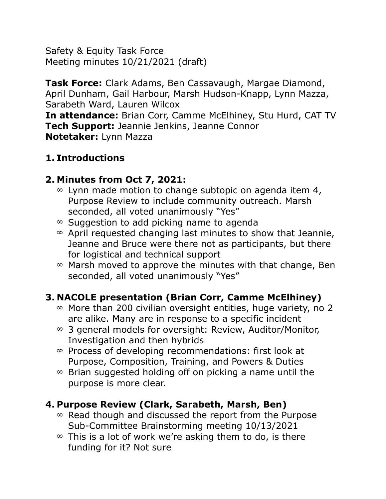Safety & Equity Task Force Meeting minutes 10/21/2021 (draft)

**Task Force:** Clark Adams, Ben Cassavaugh, Margae Diamond, April Dunham, Gail Harbour, Marsh Hudson-Knapp, Lynn Mazza, Sarabeth Ward, Lauren Wilcox **In attendance:** Brian Corr, Camme McElhiney, Stu Hurd, CAT TV **Tech Support:** Jeannie Jenkins, Jeanne Connor **Notetaker:** Lynn Mazza

#### **1. Introductions**

#### **2. Minutes from Oct 7, 2021:**

- $\infty$  Lynn made motion to change subtopic on agenda item 4, Purpose Review to include community outreach. Marsh seconded, all voted unanimously "Yes"
- $\infty$  Suggestion to add picking name to agenda
- $\infty$  April requested changing last minutes to show that Jeannie, Jeanne and Bruce were there not as participants, but there for logistical and technical support
- $\infty$  Marsh moved to approve the minutes with that change, Ben seconded, all voted unanimously "Yes"

# **3. NACOLE presentation (Brian Corr, Camme McElhiney)**

- $\infty$  More than 200 civilian oversight entities, huge variety, no 2 are alike. Many are in response to a specific incident
- $\infty$  3 general models for oversight: Review, Auditor/Monitor, Investigation and then hybrids
- $\infty$  Process of developing recommendations: first look at Purpose, Composition, Training, and Powers & Duties
- $\infty$  Brian suggested holding off on picking a name until the purpose is more clear.

#### **4. Purpose Review (Clark, Sarabeth, Marsh, Ben)**

- $\infty$  Read though and discussed the report from the Purpose Sub-Committee Brainstorming meeting 10/13/2021
- $\infty$  This is a lot of work we're asking them to do, is there funding for it? Not sure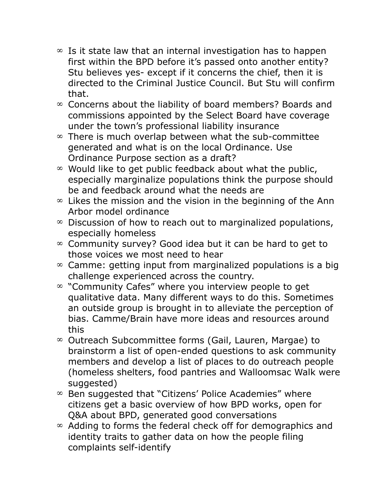- $\infty$  Is it state law that an internal investigation has to happen first within the BPD before it's passed onto another entity? Stu believes yes- except if it concerns the chief, then it is directed to the Criminal Justice Council. But Stu will confirm that.
- $\infty$  Concerns about the liability of board members? Boards and commissions appointed by the Select Board have coverage under the town's professional liability insurance
- $\infty$  There is much overlap between what the sub-committee generated and what is on the local Ordinance. Use Ordinance Purpose section as a draft?
- $\infty$  Would like to get public feedback about what the public, especially marginalize populations think the purpose should be and feedback around what the needs are
- $\infty$  Likes the mission and the vision in the beginning of the Ann Arbor model ordinance
- $\infty$  Discussion of how to reach out to marginalized populations, especially homeless
- $\infty$  Community survey? Good idea but it can be hard to get to those voices we most need to hear
- $\infty$  Camme: getting input from marginalized populations is a big challenge experienced across the country.
- $\infty$  "Community Cafes" where you interview people to get qualitative data. Many different ways to do this. Sometimes an outside group is brought in to alleviate the perception of bias. Camme/Brain have more ideas and resources around this
- Outreach Subcommittee forms (Gail, Lauren, Margae) to brainstorm a list of open-ended questions to ask community members and develop a list of places to do outreach people (homeless shelters, food pantries and Walloomsac Walk were suggested)
- $\infty$  Ben suggested that "Citizens' Police Academies" where citizens get a basic overview of how BPD works, open for Q&A about BPD, generated good conversations
- $\infty$  Adding to forms the federal check off for demographics and identity traits to gather data on how the people filing complaints self-identify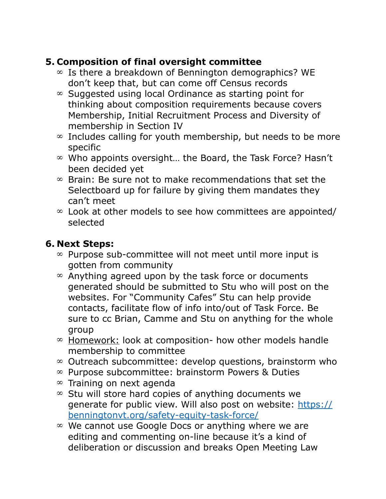## **5. Composition of final oversight committee**

- $\infty$  Is there a breakdown of Bennington demographics? WE don't keep that, but can come off Census records
- $\infty$  Suggested using local Ordinance as starting point for thinking about composition requirements because covers Membership, Initial Recruitment Process and Diversity of membership in Section IV
- $\infty$  Includes calling for youth membership, but needs to be more specific
- $\infty$  Who appoints oversight... the Board, the Task Force? Hasn't been decided yet
- $\infty$  Brain: Be sure not to make recommendations that set the Selectboard up for failure by giving them mandates they can't meet
- $\infty$  Look at other models to see how committees are appointed/ selected

### **6. Next Steps:**

- $\infty$  Purpose sub-committee will not meet until more input is gotten from community
- $\infty$  Anything agreed upon by the task force or documents generated should be submitted to Stu who will post on the websites. For "Community Cafes" Stu can help provide contacts, facilitate flow of info into/out of Task Force. Be sure to cc Brian, Camme and Stu on anything for the whole group
- $\infty$  Homework: look at composition- how other models handle membership to committee
- $\infty$  Outreach subcommittee: develop questions, brainstorm who
- $\infty$  Purpose subcommittee: brainstorm Powers & Duties
- $\infty$  Training on next agenda
- $\infty$  Stu will store hard copies of anything documents we generate for public view. Will also post on website: [https://](https://benningtonvt.org/safety-equity-task-force/) [benningtonvt.org/safety-equity-task-force/](https://benningtonvt.org/safety-equity-task-force/)
- $\infty$  We cannot use Google Docs or anything where we are editing and commenting on-line because it's a kind of deliberation or discussion and breaks Open Meeting Law